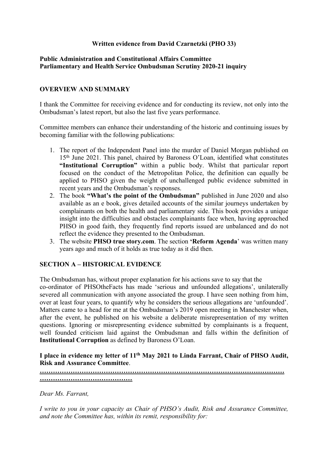# **Written evidence from David Czarnetzki (PHO 33)**

# **[Public](https://admin.committees.parliament.uk/Committee/Edit/327) [Administration](https://admin.committees.parliament.uk/Committee/Edit/327) [and](https://admin.committees.parliament.uk/Committee/Edit/327) [Constitutional](https://admin.committees.parliament.uk/Committee/Edit/327) [Affairs](https://admin.committees.parliament.uk/Committee/Edit/327) [Committee](https://admin.committees.parliament.uk/Committee/Edit/327) [Parliamentary](https://admin.committees.parliament.uk/Committee/327/CommitteeBusiness/Edit/1503) [and](https://admin.committees.parliament.uk/Committee/327/CommitteeBusiness/Edit/1503) [Health](https://admin.committees.parliament.uk/Committee/327/CommitteeBusiness/Edit/1503) [Service](https://admin.committees.parliament.uk/Committee/327/CommitteeBusiness/Edit/1503) [Ombudsman](https://admin.committees.parliament.uk/Committee/327/CommitteeBusiness/Edit/1503) [Scrutiny](https://admin.committees.parliament.uk/Committee/327/CommitteeBusiness/Edit/1503) [2020-21](https://admin.committees.parliament.uk/Committee/327/CommitteeBusiness/Edit/1503) inquiry**

# **OVERVIEW AND SUMMARY**

I thank the Committee for receiving evidence and for conducting its review, not only into the Ombudsman's latest report, but also the last five years performance.

Committee members can enhance their understanding of the historic and continuing issues by becoming familiar with the following publications:

- 1. The report of the Independent Panel into the murder of Daniel Morgan published on 15th June 2021. This panel, chaired by Baroness O'Loan, identified what constitutes **"Institutional Corruption"** within a public body. Whilst that particular report focused on the conduct of the Metropolitan Police, the definition can equally be applied to PHSO given the weight of unchallenged public evidence submitted in recent years and the Ombudsman's responses.
- 2. The book **"What's the point of the Ombudsman"** published in June 2020 and also available as an e book, gives detailed accounts of the similar journeys undertaken by complainants on both the health and parliamentary side. This book provides a unique insight into the difficulties and obstacles complainants face when, having approached PHSO in good faith, they frequently find reports issued are unbalanced and do not reflect the evidence they presented to the Ombudsman.
- 3. The website **PHSO true story.com**. The section **'Reform Agenda**' was written many years ago and much of it holds as true today as it did then.

# **SECTION A – HISTORICAL EVIDENCE**

The Ombudsman has, without proper explanation for his actions save to say that the co-ordinator of PHSOtheFacts has made 'serious and unfounded allegations', unilaterally severed all communication with anyone associated the group. I have seen nothing from him, over at least four years, to quantify why he considers the serious allegations are 'unfounded'. Matters came to a head for me at the Ombudsman's 2019 open meeting in Manchester when, after the event, he published on his website a deliberate misrepresentation of my written questions. Ignoring or misrepresenting evidence submitted by complainants is a frequent, well founded criticism laid against the Ombudsman and falls within the definition of **Institutional Corruption** as defined by Baroness O'Loan.

**I place in evidence my letter of 11th May 2021 to Linda Farrant, Chair of PHSO Audit, Risk and Assurance Committee**.

**………………………………………………………………………………………………… ……………………………………**

*Dear Ms. Farrant,*

*I write to you in your capacity as Chair of PHSO's Audit, Risk and Assurance Committee, and note the Committee has, within its remit, responsibility for:*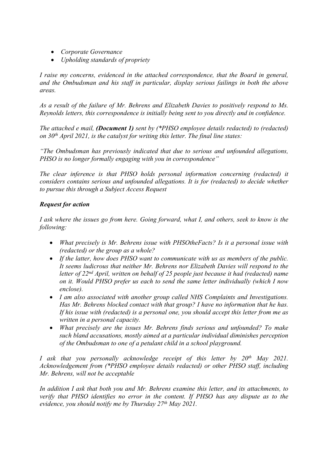- *Corporate Governance*
- *Upholding standards of propriety*

*I raise my concerns, evidenced in the attached correspondence, that the Board in general, and the Ombudsman and his staff in particular, display serious failings in both the above areas.*

*As a result of the failure of Mr. Behrens and Elizabeth Davies to positively respond to Ms. Reynolds letters, this correspondence is initially being sent to you directly and in confidence.*

*The attached e mail, (Document 1) sent by (\*PHSO employee details redacted) to (redacted) on 30th April 2021, is the catalyst for writing this letter. The final line states:*

*"The Ombudsman has previously indicated that due to serious and unfounded allegations, PHSO is no longer formally engaging with you in correspondence"*

*The clear inference is that PHSO holds personal information concerning (redacted) it considers contains serious and unfounded allegations. It is for (redacted) to decide whether to pursue this through a Subject Access Request*

# *Request for action*

*I ask where the issues go from here. Going forward, what I, and others, seek to know is the following:*

- *What precisely is Mr. Behrens issue with PHSOtheFacts? Is it a personal issue with (redacted) or the group as a whole?*
- *If the latter, how does PHSO want to communicate with us as members of the public. It seems ludicrous that neither Mr. Behrens nor Elizabeth Davies will respond to the letter of 22nd April, written on behalf of 25 people just because it had (redacted) name on it. Would PHSO prefer us each to send the same letter individually (which I now enclose).*
- *I am also associated with another group called NHS Complaints and Investigations. Has Mr. Behrens blocked contact with that group? I have no information that he has. If his issue with (redacted) is a personal one, you should accept this letter from me as written in a personal capacity.*
- *What precisely are the issues Mr. Behrens finds serious and unfounded? To make such bland accusations, mostly aimed at a particular individual diminishes perception of the Ombudsman to one of a petulant child in a school playground.*

*I ask that you personally acknowledge receipt of this letter by 20th May 2021. Acknowledgement from (\*PHSO employee details redacted) or other PHSO staff, including Mr. Behrens, will not be acceptable*

*In addition I ask that both you and Mr. Behrens examine this letter, and its attachments, to verify that PHSO identifies no error in the content. If PHSO has any dispute as to the evidence, you should notify me by Thursday 27th May 2021.*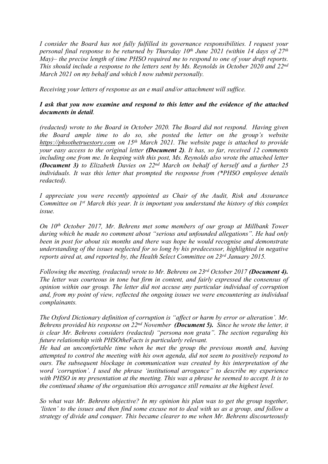*I consider the Board has not fully fulfilled its governance responsibilities. I request your personal final response to be returned by Thursday 10th June 2021 (within 14 days of 27th May)– the precise length of time PHSO required me to respond to one of your draft reports. This should include a response to the letters sent by Ms. Reynolds in October 2020 and 22nd March 2021 on my behalf and which I now submit personally.*

*Receiving your letters of response as an e mail and/or attachment will suffice.*

# *I ask that you now examine and respond to this letter and the evidence of the attached documents in detail.*

*(redacted) wrote to the Board in October 2020. The Board did not respond. Having given the Board ample time to do so, she posted the letter on the group's website https://phsothetruestory.com on 15th March 2021. The website page is attached to provide your easy access to the original letter (Document 2). It has, so far, received 12 comments including one from me. In keeping with this post, Ms. Reynolds also wrote the attached letter (Document 3) to Elizabeth Davies on 22nd March on behalf of herself and a further 25 individuals. It was this letter that prompted the response from (\*PHSO employee details redacted).*

*I appreciate you were recently appointed as Chair of the Audit, Risk and Assurance Committee on 1 st March this year. It is important you understand the history of this complex issue.*

*On 10th October 2017, Mr. Behrens met some members of our group at Millbank Tower during which he made no comment about "serious and unfounded allegations". He had only been in post for about six months and there was hope he would recognise and demonstrate understanding of the issues neglected for so long by his predecessor, highlighted in negative reports aired at, and reported by, the Health Select Committee on 23rd January 2015.*

*Following the meeting, (redacted) wrote to Mr. Behrens on 23rd October 2017 (Document 4). The letter was courteous in tone but firm in content, and fairly expressed the consensus of opinion within our group. The letter did not accuse any particular individual of corruption and, from my point of view, reflected the ongoing issues we were encountering as individual complainants.*

*The Oxford Dictionary definition of corruption is "affect or harm by error or alteration'. Mr. Behrens provided his response on 22nd November (Document 5). Since he wrote the letter, it is clear Mr. Behrens considers (redacted) "persona non grata". The section regarding his future relationship with PHSOtheFacts is particularly relevant.*

*He had an uncomfortable time when he met the group the previous month and, having attempted to control the meeting with his own agenda, did not seem to positively respond to ours. The subsequent blockage in communication was created by his interpretation of the word 'corruption'. I used the phrase 'institutional arrogance" to describe my experience* with PHSO in my presentation at the meeting. This was a phrase he seemed to accept. It is to *the continued shame of the organisation this arrogance still remains at the highest level.*

*So what was Mr. Behrens objective? In my opinion his plan was to get the group together,* 'listen' to the issues and then find some excuse not to deal with us as a group, and follow a *strategy of divide and conquer. This became clearer to me when Mr. Behrens discourteously*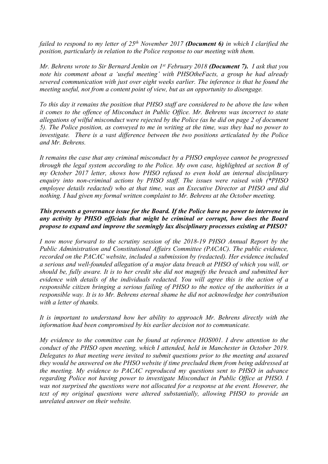*failed to respond to my letter of 25th November 2017 (Document 6) in which I clarified the position, particularly in relation to the Police response to our meeting with them.*

*Mr. Behrens wrote to Sir Bernard Jenkin on 1 st February 2018 (Document 7). I ask that you note his comment about a 'useful meeting' with PHSOtheFacts, a group he had already severed communication with just over eight weeks earlier. The inference is that he found the meeting useful, not from a content point of view, but as an opportunity to disengage.*

*To this day it remains the position that PHSO staff are considered to be above the law when it comes to the offence of Misconduct in Public Office. Mr. Behrens was incorrect to state allegations of wilful misconduct were rejected by the Police (as he did on page 2 of document 5). The Police position, as conveyed to me in writing at the time, was they had no power to investigate. There is a vast difference between the two positions articulated by the Police and Mr. Behrens.*

*It remains the case that any criminal misconduct by a PHSO employee cannot be progressed through the legal system according to the Police. My own case, highlighted at section B of my October 2017 letter, shows how PHSO refused to even hold an internal disciplinary enquiry into non-criminal actions by PHSO staff. The issues were raised with (\*PHSO employee details redacted) who at that time, was an Executive Director at PHSO and did nothing. I had given my formal written complaint to Mr. Behrens at the October meeting.*

# *This presents a governance issue for the Board. If the Police have no power to intervene in any activity by PHSO officials that might be criminal or corrupt, how does the Board propose to expand and improve the seemingly lax disciplinary processes existing at PHSO?*

*I now move forward to the scrutiny session of the 2018-19 PHSO Annual Report by the Public Administration and Constitutional Affairs Committee (PACAC). The public evidence, recorded on the PACAC website, included a submission by (redacted). Her evidence included a serious and well-founded allegation of a major data breach at PHSO of which you will, or should be, fully aware. It is to her credit she did not magnify the breach and submitted her evidence with details of the individuals redacted. You will agree this is the action of a responsible citizen bringing a serious failing of PHSO to the notice of the authorities in a responsible way. It is to Mr. Behrens eternal shame he did not acknowledge her contribution with a letter of thanks.*

*It is important to understand how her ability to approach Mr. Behrens directly with the information had been compromised by his earlier decision not to communicate.*

*My evidence to the committee can be found at reference HOS001. I drew attention to the conduct of the PHSO open meeting, which I attended, held in Manchester in October 2019. Delegates to that meeting were invited to submit questions prior to the meeting and assured they would be answered on the PHSO website if time precluded them from being addressed at the meeting. My evidence to PACAC reproduced my questions sent to PHSO in advance regarding Police not having power to investigate Misconduct in Public Office at PHSO. I was not surprised the questions were not allocated for a response at the event. However, the text of my original questions were altered substantially, allowing PHSO to provide an unrelated answer on their website.*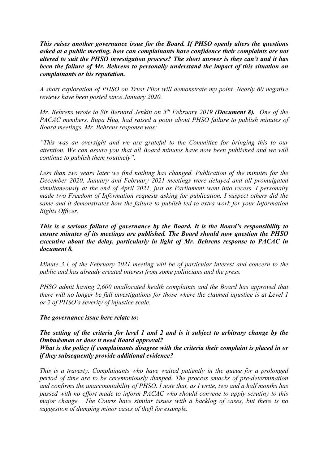*This raises another governance issue for the Board. If PHSO openly alters the questions asked at a public meeting, how can complainants have confidence their complaints are not altered to suit the PHSO investigation process? The short answer is they can't and it has been the failure of Mr. Behrens to personally understand the impact of this situation on complainants or his reputation.* 

*A short exploration of PHSO on Trust Pilot will demonstrate my point. Nearly 60 negative reviews have been posted since January 2020.*

*Mr. Behrens wrote to Sir Bernard Jenkin on 5 th February 2019 (Document 8). One of the PACAC members, Rupa Huq, had raised a point about PHSO failure to publish minutes of Board meetings. Mr. Behrens response was:*

*"This was an oversight and we are grateful to the Committee for bringing this to our attention. We can assure you that all Board minutes have now been published and we will continue to publish them routinely".*

*Less than two years later we find nothing has changed. Publication of the minutes for the December 2020, January and February 2021 meetings were delayed and all promulgated simultaneously at the end of April 2021, just as Parliament went into recess. I personally made two Freedom of Information requests asking for publication. I suspect others did the same and it demonstrates how the failure to publish led to extra work for your Information Rights Officer.*

*This is a serious failure of governance by the Board. It is the Board's responsibility to ensure minutes of its meetings are published. The Board should now question the PHSO executive about the delay, particularly in light of Mr. Behrens response to PACAC in document 8.*

*Minute 3.1 of the February 2021 meeting will be of particular interest and concern to the public and has already created interest from some politicians and the press.*

*PHSO admit having 2,600 unallocated health complaints and the Board has approved that there will no longer be full investigations for those where the claimed injustice is at Level 1 or 2 of PHSO's severity of injustice scale.*

### *The governance issue here relate to:*

*The setting of the criteria for level 1 and 2 and is it subject to arbitrary change by the Ombudsman or does it need Board approval? What is the policy if complainants disagree with the criteria their complaint is placed in or if they subsequently provide additional evidence?*

*This is a travesty. Complainants who have waited patiently in the queue for a prolonged period of time are to be ceremoniously dumped. The process smacks of pre-determination and confirms the unaccountability of PHSO. I note that, as I write, two and a half months has passed with no effort made to inform PACAC who should convene to apply scrutiny to this major change. The Courts have similar issues with a backlog of cases, but there is no suggestion of dumping minor cases of theft for example.*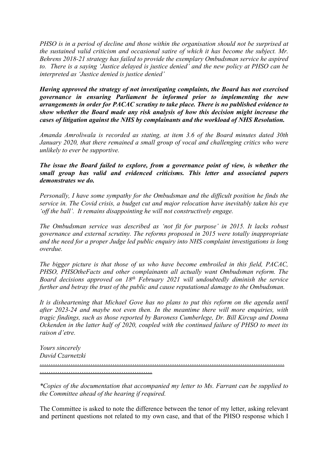*PHSO is in a period of decline and those within the organisation should not be surprised at the sustained valid criticism and occasional satire of which it has become the subject. Mr. Behrens 2018-21 strategy has failed to provide the exemplary Ombudsman service he aspired to. There is a saying 'Justice delayed is justice denied' and the new policy at PHSO can be interpreted as 'Justice denied is justice denied'*

*Having approved the strategy of not investigating complaints, the Board has not exercised governance in ensuring Parliament be informed prior to implementing the new arrangements in order for PACAC scrutiny to take place. There is no published evidence to show whether the Board made any risk analysis of how this decision might increase the cases of litigation against the NHS by complainants and the workload of NHS Resolution.*

*Amanda Amroliwala is recorded as stating, at item 3.6 of the Board minutes dated 30th January 2020, that there remained a small group of vocal and challenging critics who were unlikely to ever be supportive.* 

*The issue the Board failed to explore, from a governance point of view, is whether the small group has valid and evidenced criticisms. This letter and associated papers demonstrates we do.*

*Personally, I have some sympathy for the Ombudsman and the difficult position he finds the service in. The Covid crisis, a budget cut and major relocation have inevitably taken his eye 'off the ball'. It remains disappointing he will not constructively engage.*

*The Ombudsman service was described as 'not fit for purpose' in 2015. It lacks robust governance and external scrutiny. The reforms proposed in 2015 were totally inappropriate and the need for a proper Judge led public enquiry into NHS complaint investigations is long overdue.*

*The bigger picture is that those of us who have become embroiled in this field, PACAC, PHSO, PHSOtheFacts and other complainants all actually want Ombudsman reform. The Board decisions approved on 18th February 2021 will undoubtedly diminish the service further and betray the trust of the public and cause reputational damage to the Ombudsman.*

*It is disheartening that Michael Gove has no plans to put this reform on the agenda until after 2023-24 and maybe not even then. In the meantime there will more enquiries, with tragic findings, such as those reported by Baroness Cumberlege, Dr. Bill Kircup and Donna Ockenden in the latter half of 2020, coupled with the continued failure of PHSO to meet its raison d'etre.*

*Yours sincerely David Czarnetzki*

………………………………………………………………………………………………… ……………………………………………

*\*Copies of the documentation that accompanied my letter to Ms. Farrant can be supplied to the Committee ahead of the hearing if required.*

The Committee is asked to note the difference between the tenor of my letter, asking relevant and pertinent questions not related to my own case, and that of the PHSO response which I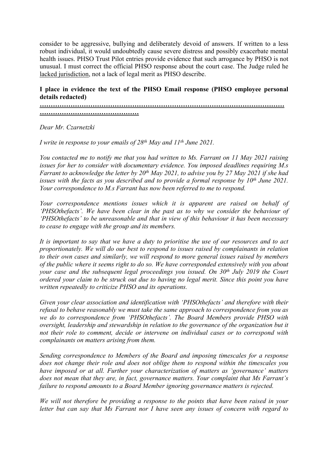consider to be aggressive, bullying and deliberately devoid of answers. If written to a less robust individual, it would undoubtedly cause severe distress and possibly exacerbate mental health issues. PHSO Trust Pilot entries provide evidence that such arrogance by PHSO is not unusual. I must correct the official PHSO response about the court case. The Judge ruled he lacked jurisdiction, not a lack of legal merit as PHSO describe.

# **I place in evidence the text of the PHSO Email response (PHSO employee personal details redacted)**

**…………………………………………………………………………………………………**

**………………………………………**

*Dear Mr. Czarnetzki*

*I write in response to your emails of 28th May and 11th June 2021.*

*You contacted me to notify me that you had written to Ms. Farrant on 11 May 2021 raising issues for her to consider with documentary evidence. You imposed deadlines requiring M.s* Farrant to acknowledge the letter by  $20^{th}$  May 2021, to advise you by 27 May 2021 if she had *issues with the facts as you described and to provide a formal response by 10th June 2021. Your correspondence to M.s Farrant has now been referred to me to respond.*

*Your correspondence mentions issues which it is apparent are raised on behalf of 'PHSOthefacts'. We have been clear in the past as to why we consider the behaviour of 'PHSOthefacts' to be unreasonable and that in view of this behaviour it has been necessary to cease to engage with the group and its members.*

It is important to say that we have a duty to prioritise the use of our resources and to act *proportionately. We will do our best to respond to issues raised by complainants in relation to their own cases and similarly, we will respond to more general issues raised by members of the public where it seems right to do so. We have corresponded extensively with you about your case and the subsequent legal proceedings you issued. On 30th July 2019 the Court ordered your claim to be struck out due to having no legal merit. Since this point you have written repeatedly to criticize PHSO and its operations.*

*Given your clear association and identification with 'PHSOthefacts' and therefore with their refusal to behave reasonably we must take the same approach to correspondence from you as we do to correspondence from 'PHSOthefacts'. The Board Members provide PHSO with oversight, leadership and stewardship in relation to the governance of the organization but it not their role to comment, decide or intervene on individual cases or to correspond with complainants on matters arising from them.*

*Sending correspondence to Members of the Board and imposing timescales for a response does not change their role and does not oblige them to respond within the timescales you have imposed or at all. Further your characterization of matters as 'governance' matters does not mean that they are, in fact, governance matters. Your complaint that Ms Farrant's failure to respond amounts to a Board Member ignoring governance matters is rejected.*

*We will not therefore be providing a response to the points that have been raised in your letter but can say that Ms Farrant nor I have seen any issues of concern with regard to*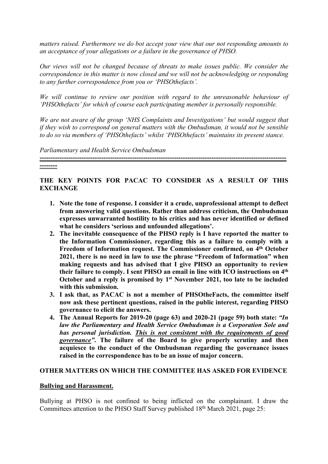*matters raised. Furthermore we do bot accept your view that our not responding amounts to an acceptance of your allegations or a failure in the governance of PHSO.*

*Our views will not be changed because of threats to make issues public. We consider the correspondence in this matter is now closed and we will not be acknowledging or responding to any further correspondence from you or 'PHSOthefacts'.*

*We will continue to review our position with regard to the unreasonable behaviour of 'PHSOthefacts' for which of course each participating member is personally responsible.*

*We are not aware of the group 'NHS Complaints and Investigations' but would suggest that if they wish to correspond on general matters with the Ombudsman, it would not be sensible to do so via members of 'PHSOthefacts' whilst 'PHSOthefacts' maintains its present stance.*

*Parliamentary and Health Service Ombudsman*

#### **--------**

# **THE KEY POINTS FOR PACAC TO CONSIDER AS A RESULT OF THIS EXCHANGE**

**----------------------------------------------------------------------------------------------------------------**

- **1. Note the tone of response. I consider it a crude, unprofessional attempt to deflect from answering valid questions. Rather than address criticism, the Ombudsman expresses unwarranted hostility to his critics and has never identified or defined what he considers 'serious and unfounded allegations'.**
- **2. The inevitable consequence of the PHSO reply is I have reported the matter to the Information Commissioner, regarding this as a failure to comply with a Freedom of Information request. The Commissioner confirmed, on 4 th October 2021, there is no need in law to use the phrase "Freedom of Information" when making requests and has advised that I give PHSO an opportunity to review their failure to comply. I sent PHSO an email in line with ICO instructions on 4 th October and a reply is promised by 1 st November 2021, too late to be included with this submission.**
- **3. I ask that, as PACAC is not a member of PHSOtheFacts, the committee itself now ask these pertinent questions, raised in the public interest, regarding PHSO governance to elicit the answers.**
- **4. The Annual Reports for 2019-20 (page 63) and 2020-21 (page 59) both state:** *"In law the Parliamentary and Health Service Ombudsman is a Corporation Sole and has personal jurisdiction. This is not consistent with the requirements of good governance"***. The failure of the Board to give properly scrutiny and then acquiesce to the conduct of the Ombudsman regarding the governance issues raised in the correspondence has to be an issue of major concern.**

### **OTHER MATTERS ON WHICH THE COMMITTEE HAS ASKED FOR EVIDENCE**

### **Bullying and Harassment.**

Bullying at PHSO is not confined to being inflicted on the complainant. I draw the Committees attention to the PHSO Staff Survey published 18<sup>th</sup> March 2021, page 25: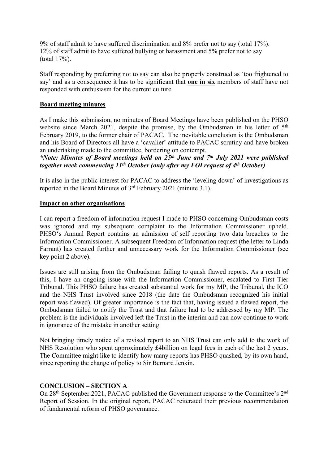9% of staff admit to have suffered discrimination and 8% prefer not to say (total 17%). 12% of staff admit to have suffered bullying or harassment and 5% prefer not to say (total 17%).

Staff responding by preferring not to say can also be properly construed as 'too frightened to say' and as a consequence it has to be significant that **one in six** members of staff have not responded with enthusiasm for the current culture.

# **Board meeting minutes**

As I make this submission, no minutes of Board Meetings have been published on the PHSO website since March 2021, despite the promise, by the Ombudsman in his letter of 5<sup>th</sup> February 2019, to the former chair of PACAC. The inevitable conclusion is the Ombudsman and his Board of Directors all have a 'cavalier' attitude to PACAC scrutiny and have broken an undertaking made to the committee, bordering on contempt.

*\*Note: Minutes of Board meetings held on 25th June and 7 th July 2021 were published together week commencing 11th October (only after my FOI request of 4 th October)*

It is also in the public interest for PACAC to address the 'leveling down' of investigations as reported in the Board Minutes of 3 rd February 2021 (minute 3.1).

## **Impact on other organisations**

I can report a freedom of information request I made to PHSO concerning Ombudsman costs was ignored and my subsequent complaint to the Information Commissioner upheld. PHSO's Annual Report contains an admission of self reporting two data breaches to the Information Commissioner. A subsequent Freedom of Information request (the letter to Linda Farrant) has created further and unnecessary work for the Information Commissioner (see key point 2 above).

Issues are still arising from the Ombudsman failing to quash flawed reports. As a result of this, I have an ongoing issue with the Information Commissioner, escalated to First Tier Tribunal. This PHSO failure has created substantial work for my MP, the Tribunal, the ICO and the NHS Trust involved since 2018 (the date the Ombudsman recognized his initial report was flawed). Of greater importance is the fact that, having issued a flawed report, the Ombudsman failed to notify the Trust and that failure had to be addressed by my MP. The problem is the individuals involved left the Trust in the interim and can now continue to work in ignorance of the mistake in another setting.

Not bringing timely notice of a revised report to an NHS Trust can only add to the work of NHS Resolution who spent approximately £4billion on legal fees in each of the last 2 years. The Committee might like to identify how many reports has PHSO quashed, by its own hand, since reporting the change of policy to Sir Bernard Jenkin.

# **CONCLUSION – SECTION A**

On 28<sup>th</sup> September 2021, PACAC published the Government response to the Committee's 2<sup>nd</sup> Report of Session. In the original report, PACAC reiterated their previous recommendation of fundamental reform of PHSO governance.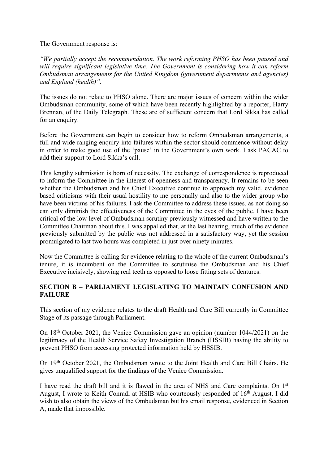The Government response is:

*"We partially accept the recommendation. The work reforming PHSO has been paused and will require significant legislative time. The Government is considering how it can reform Ombudsman arrangements for the United Kingdom (government departments and agencies) and England (health)".*

The issues do not relate to PHSO alone. There are major issues of concern within the wider Ombudsman community, some of which have been recently highlighted by a reporter, Harry Brennan, of the Daily Telegraph. These are of sufficient concern that Lord Sikka has called for an enquiry.

Before the Government can begin to consider how to reform Ombudsman arrangements, a full and wide ranging enquiry into failures within the sector should commence without delay in order to make good use of the 'pause' in the Government's own work. I ask PACAC to add their support to Lord Sikka's call.

This lengthy submission is born of necessity. The exchange of correspondence is reproduced to inform the Committee in the interest of openness and transparency. It remains to be seen whether the Ombudsman and his Chief Executive continue to approach my valid, evidence based criticisms with their usual hostility to me personally and also to the wider group who have been victims of his failures. I ask the Committee to address these issues, as not doing so can only diminish the effectiveness of the Committee in the eyes of the public. I have been critical of the low level of Ombudsman scrutiny previously witnessed and have written to the Committee Chairman about this. I was appalled that, at the last hearing, much of the evidence previously submitted by the public was not addressed in a satisfactory way, yet the session promulgated to last two hours was completed in just over ninety minutes.

Now the Committee is calling for evidence relating to the whole of the current Ombudsman's tenure, it is incumbent on the Committee to scrutinise the Ombudsman and his Chief Executive incisively, showing real teeth as opposed to loose fitting sets of dentures.

# **SECTION B – PARLIAMENT LEGISLATING TO MAINTAIN CONFUSION AND FAILURE**

This section of my evidence relates to the draft Health and Care Bill currently in Committee Stage of its passage through Parliament.

On 18th October 2021, the Venice Commission gave an opinion (number 1044/2021) on the legitimacy of the Health Service Safety Investigation Branch (HSSIB) having the ability to prevent PHSO from accessing protected information held by HSSIB.

On 19th October 2021, the Ombudsman wrote to the Joint Health and Care Bill Chairs. He gives unqualified support for the findings of the Venice Commission.

I have read the draft bill and it is flawed in the area of NHS and Care complaints. On 1<sup>st</sup> August, I wrote to Keith Conradi at HSIB who courteously responded of 16th August. I did wish to also obtain the views of the Ombudsman but his email response, evidenced in Section A, made that impossible.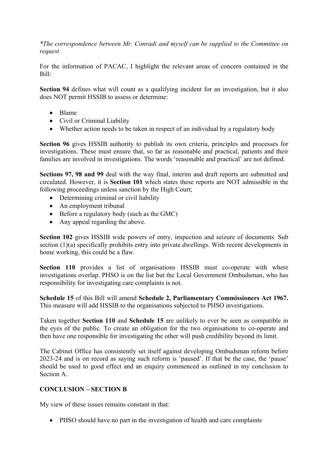*\*The correspondence between Mr. Conradi and myself can be supplied to the Committee on request*

For the information of PACAC, I highlight the relevant areas of concern contained in the Bill:

**Section 94** defines what will count as a qualifying incident for an investigation, but it also does NOT permit HSSIB to assess or determine:

- Blame
- Civil or Criminal Liability
- Whether action needs to be taken in respect of an individual by a regulatory body

**Section 96** gives HSSIB authority to publish its own criteria, principles and processes for investigations. These must ensure that, so far as reasonable and practical, patients and their families are involved in investigations. The words 'reasonable and practical' are not defined.

**Sections 97, 98 and 99** deal with the way final, interim and draft reports are submitted and circulated. However, it is **Section 101** which states these reports are NOT admissible in the following proceedings unless sanction by the High Court;

- Determining criminal or civil liability
- An employment tribunal
- $\bullet$  Before a regulatory body (such as the GMC)
- Any appeal regarding the above.

**Section 102** gives HSSIB wide powers of entry, inspection and seizure of documents. Sub section (1)(a) specifically prohibits entry into private dwellings. With recent developments in home working, this could be a flaw.

**Section 110** provides a list of organisations HSSIB must co-operate with where investigations overlap. PHSO is on the list but the Local Government Ombudsman, who has responsibility for investigating care complaints is not.

**Schedule 15** of this Bill will amend **Schedule 2, Parliamentary Commissioners Act 1967.** This measure will add HSSIB to the organisations subjected to PHSO investigations.

Taken together **Section 110** and **Schedule 15** are unlikely to ever be seen as compatible in the eyes of the public. To create an obligation for the two organisations to co-operate and then have one responsible for investigating the other will push credibility beyond its limit.

The Cabinet Office has consistently set itself against developing Ombudsman reform before 2023-24 and is on record as saying such reform is 'paused'. If that be the case, the 'pause' should be used to good effect and an enquiry commenced as outlined in my conclusion to Section A.

# **CONCLUSION – SECTION B**

My view of these issues remains constant in that:

PHSO should have no part in the investigation of health and care complaints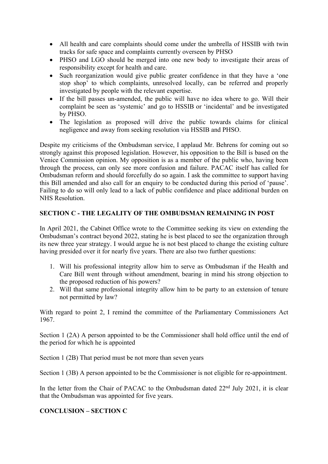- All health and care complaints should come under the umbrella of HSSIB with twin tracks for safe space and complaints currently overseen by PHSO
- PHSO and LGO should be merged into one new body to investigate their areas of responsibility except for health and care.
- Such reorganization would give public greater confidence in that they have a 'one stop shop' to which complaints, unresolved locally, can be referred and properly investigated by people with the relevant expertise.
- If the bill passes un-amended, the public will have no idea where to go. Will their complaint be seen as 'systemic' and go to HSSIB or 'incidental' and be investigated by PHSO.
- The legislation as proposed will drive the public towards claims for clinical negligence and away from seeking resolution via HSSIB and PHSO.

Despite my criticisms of the Ombudsman service, I applaud Mr. Behrens for coming out so strongly against this proposed legislation. However, his opposition to the Bill is based on the Venice Commission opinion. My opposition is as a member of the public who, having been through the process, can only see more confusion and failure. PACAC itself has called for Ombudsman reform and should forcefully do so again. I ask the committee to support having this Bill amended and also call for an enquiry to be conducted during this period of 'pause'. Failing to do so will only lead to a lack of public confidence and place additional burden on NHS Resolution.

# **SECTION C - THE LEGALITY OF THE OMBUDSMAN REMAINING IN POST**

In April 2021, the Cabinet Office wrote to the Committee seeking its view on extending the Ombudsman's contract beyond 2022, stating he is best placed to see the organization through its new three year strategy. I would argue he is not best placed to change the existing culture having presided over it for nearly five years. There are also two further questions:

- 1. Will his professional integrity allow him to serve as Ombudsman if the Health and Care Bill went through without amendment, bearing in mind his strong objection to the proposed reduction of his powers?
- 2. Will that same professional integrity allow him to be party to an extension of tenure not permitted by law?

With regard to point 2, I remind the committee of the Parliamentary Commissioners Act 1967.

Section 1 (2A) A person appointed to be the Commissioner shall hold office until the end of the period for which he is appointed

Section 1 (2B) That period must be not more than seven years

Section 1 (3B) A person appointed to be the Commissioner is not eligible for re-appointment.

In the letter from the Chair of PACAC to the Ombudsman dated 22<sup>nd</sup> July 2021, it is clear that the Ombudsman was appointed for five years.

# **CONCLUSION – SECTION C**